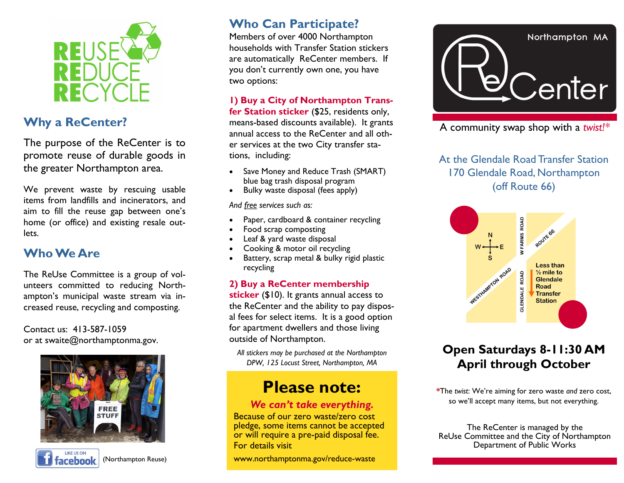

### **Why a ReCenter?**

The purpose of the ReCenter is to promote reuse of durable goods in the greater Northampton area.

We prevent waste by rescuing usable items from landfills and incinerators, and aim to fill the reuse gap between one's home (or office) and existing resale outlets.

### **Who We Are**

The ReUse Committee is a group of volunteers committed to reducing Northampton's municipal waste stream via increased reuse, recycling and composting.

Contact us: 413-587-1059 or at swaite@northamptonma.gov.





(Northampton Reuse)

### **Who Can Participate?**

Members of over 4000 Northampton households with Transfer Station stickers are automatically ReCenter members. If you don't currently own one, you have two options:

#### **1) Buy a City of Northampton Trans-**

**fer Station sticker** (\$25, residents only, means-based discounts available). It grants annual access to the ReCenter and all other services at the two City transfer stations, including:

- Save Money and Reduce Trash (SMART) blue bag trash disposal program
- Bulky waste disposal (fees apply)

*And free services such as:*

- Paper, cardboard & container recycling
- Food scrap composting
- Leaf & yard waste disposal
- Cooking & motor oil recycling
- Battery, scrap metal & bulky rigid plastic recycling

#### **2) Buy a ReCenter membership**

**sticker** (\$10). It grants annual access to the ReCenter and the ability to pay disposal fees for select items. It is a good option for apartment dwellers and those living outside of Northampton.

*All stickers may be purchased at the Northampton DPW, 125 Locust Street, Northampton, MA*

## **Please note:**

#### *We can't take everything.*

Because of our zero waste/zero cost pledge, some items cannot be accepted or will require a pre-paid disposal fee. For details visit

www.northamptonma.gov/reduce-waste



A community swap shop with a *twist!\**

At the Glendale Road Transfer Station 170 Glendale Road, Northampton (off Route 66)



## **Open Saturdays 8-11:30 AM April through October**

**\***The *twist*: We're aiming for zero waste *and* zero cost, so we'll accept many items, but not everything.

The ReCenter is managed by the ReUse Committee and the City of Northampton Department of Public Works